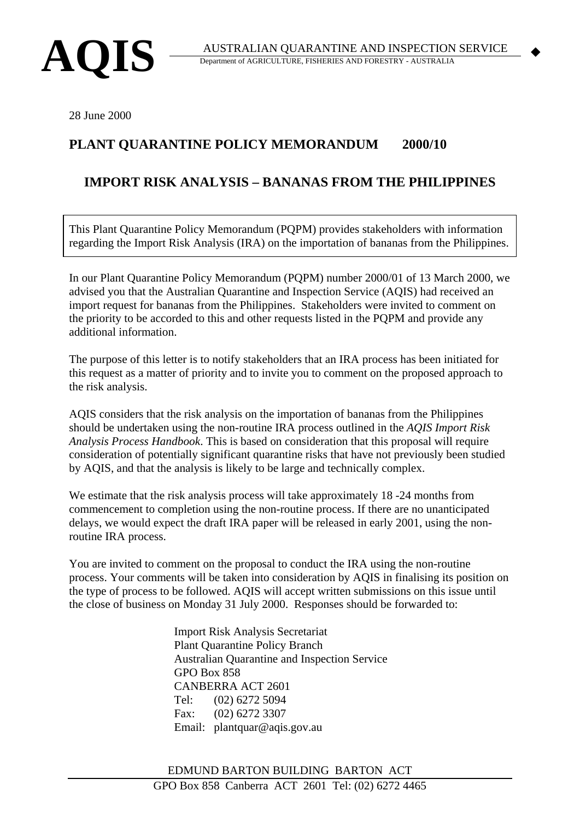

 $\blacklozenge$ 

28 June 2000

## **PLANT QUARANTINE POLICY MEMORANDUM 2000/10**

## **IMPORT RISK ANALYSIS – BANANAS FROM THE PHILIPPINES**

This Plant Quarantine Policy Memorandum (PQPM) provides stakeholders with information regarding the Import Risk Analysis (IRA) on the importation of bananas from the Philippines.

In our Plant Quarantine Policy Memorandum (PQPM) number 2000/01 of 13 March 2000, we advised you that the Australian Quarantine and Inspection Service (AQIS) had received an import request for bananas from the Philippines. Stakeholders were invited to comment on the priority to be accorded to this and other requests listed in the PQPM and provide any additional information.

The purpose of this letter is to notify stakeholders that an IRA process has been initiated for this request as a matter of priority and to invite you to comment on the proposed approach to the risk analysis.

AQIS considers that the risk analysis on the importation of bananas from the Philippines should be undertaken using the non-routine IRA process outlined in the *AQIS Import Risk Analysis Process Handbook*. This is based on consideration that this proposal will require consideration of potentially significant quarantine risks that have not previously been studied by AQIS, and that the analysis is likely to be large and technically complex.

We estimate that the risk analysis process will take approximately 18 -24 months from commencement to completion using the non-routine process. If there are no unanticipated delays, we would expect the draft IRA paper will be released in early 2001, using the nonroutine IRA process.

You are invited to comment on the proposal to conduct the IRA using the non-routine process. Your comments will be taken into consideration by AQIS in finalising its position on the type of process to be followed. AQIS will accept written submissions on this issue until the close of business on Monday 31 July 2000. Responses should be forwarded to:

> Import Risk Analysis Secretariat Plant Quarantine Policy Branch Australian Quarantine and Inspection Service GPO Box 858 CANBERRA ACT 2601 Tel: (02) 6272 5094 Fax: (02) 6272 3307 Email: plantquar@aqis.gov.au